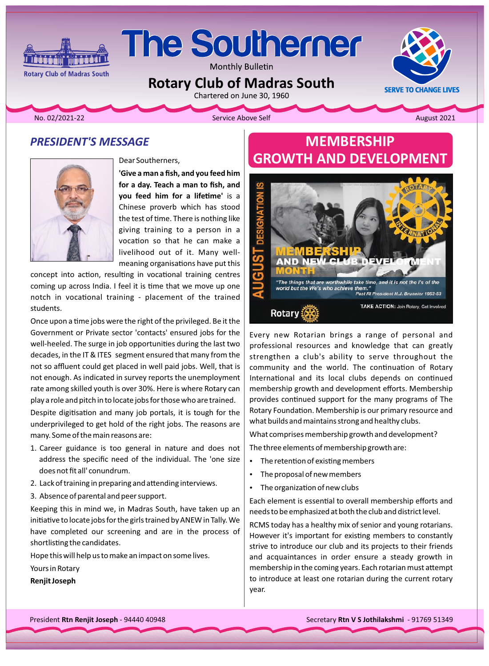# **The Southerner**

Monthly Bulletin

**Rotary Club of Madras South**<br>Chartered on June 30, 1960

**Rotary Club of Madras South** 

No. 02/2021-22 **August 2021 Contract Above Self Above Self Above Self** August 2021

**SERVE TO CHANGE LIVES** 

### **PRESIDENT'S MESSAGE**

**Minimal** 



Dear Southerners,

**'Give a man a fish, and you feed him** for a day. Teach a man to fish, and **you feed him for a lifetime' is a** Chinese proverb which has stood the test of time. There is nothing like giving training to a person in a vocation so that he can make a meaning organisations have put this livelihood out of it. Many well-

concept into action, resulting in vocational training centres coming up across India. I feel it is time that we move up one notch in vocational training - placement of the trained students.

Once upon a time jobs were the right of the privileged. Be it the Government or Private sector 'contacts' ensured jobs for the well-heeled. The surge in job opportunities during the last two decades, in the IT & ITES segment ensured that many from the not so affluent could get placed in well paid jobs. Well, that is not enough. As indicated in survey reports the unemployment rate among skilled youth is over 30%. Here is where Rotary can play a role and pitch in to locate jobs for those who are trained.

Despite digitisation and many job portals, it is tough for the underprivileged to get hold of the right jobs. The reasons are many. Some of the main reasons are:

- 1. Career guidance is too general in nature and does not address the specific need of the individual. The 'one size does not fit all' conundrum.
- 2. Lack of training in preparing and attending interviews.
- 3. Absence of parental and peer support.

Keeping this in mind we, in Madras South, have taken up an initiative to locate jobs for the girls trained by ANEW in Tally. We have completed our screening and are in the process of shortlisting the candidates.

Hope this will help us to make an impact on some lives.

Yours in Rotary

**Renjit Joseph** 

# **MEMBERSHIP GROWTH AND DEVELOPMENT**



Every new Rotarian brings a range of personal and professional resources and knowledge that can greatly strengthen a club's ability to serve throughout the community and the world. The continuation of Rotary International and its local clubs depends on continued membership growth and development efforts. Membership provides continued support for the many programs of The Rotary Foundation. Membership is our primary resource and what builds and maintains strong and healthy clubs.

What comprises membership growth and development?

The three elements of membership growth are:

- The retention of existing members
- The proposal of new members
- The organization of new clubs

Each element is essential to overall membership efforts and needs to be emphasized at both the club and district level.

RCMS today has a healthy mix of senior and young rotarians. However it's important for existing members to constantly strive to introduce our club and its projects to their friends and acquaintances in order ensure a steady growth in membership in the coming years. Each rotarian must attempt to introduce at least one rotarian during the current rotary year.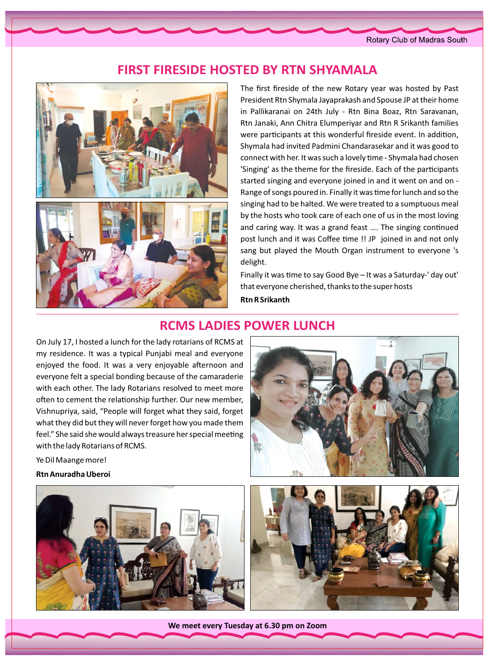Rotary Club of Madras South

## **FIRST FIRESIDE HOSTED BY RTN SHYAMALA**



The first fireside of the new Rotary year was hosted by Past President Rtn Shymala Jayaprakash and Spouse JP at their home in Pallikaranai on 24th July - Rtn Bina Boaz, Rtn Saravanan, Rtn Janaki, Ann Chitra Elumperiyar and Rtn R Srikanth families were participants at this wonderful fireside event. In addition, Shymala had invited Padmini Chandarasekar and it was good to connect with her. It was such a lovely time - Shymala had chosen 'Singing' as the theme for the fireside. Each of the participants started singing and everyone joined in and it went on and on -Range of songs poured in. Finally it was time for lunch and so the singing had to be halted. We were treated to a sumptuous meal by the hosts who took care of each one of us in the most loving and caring way. It was a grand feast .... The singing continued post lunch and it was Coffee time !! JP joined in and not only sang but played the Mouth Organ instrument to everyone 's delight.

Finally it was time to say Good Bye - It was a Saturday-' day out' that everyone cherished, thanks to the super hosts **Rtn R Srikanth** 

### **RCMS LADIES POWER LUNCH**

On July 17, I hosted a lunch for the lady rotarians of RCMS at my residence. It was a typical Punjabi meal and everyone enjoyed the food. It was a very enjoyable afternoon and everyone felt a special bonding because of the camaraderie with each other. The lady Rotarians resolved to meet more often to cement the relationship further. Our new member, Vishnupriya, said, "People will forget what they said, forget what they did but they will never forget how you made them feel." She said she would always treasure her special meeting with the lady Rotarians of RCMS.

Ye Dil Maange more!

**Rtn Anuradha Uberoi** 







We meet every Tuesday at 6.30 pm on Zoom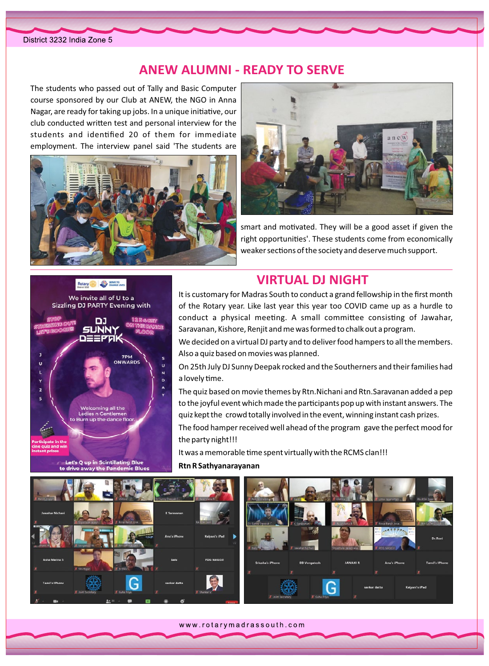### **ANEW ALUMNI - READY TO SERVE**

The students who passed out of Tally and Basic Computer course sponsored by our Club at ANEW, the NGO in Anna Nagar, are ready for taking up jobs. In a unique initiative, our club conducted written test and personal interview for the students and identified 20 of them for immediate employment. The interview panel said 'The students are





smart and motivated. They will be a good asset if given the right opportunities'. These students come from economically weaker sections of the society and deserve much support.

#### Rotary **CO** SINK





Let's Q up in Scintillating Blue to drive away the Pandemic Blue

# **VIRTUAL DJ NIGHT**

It is customary for Madras South to conduct a grand fellowship in the first month of the Rotary year. Like last year this year too COVID came up as a hurdle to conduct a physical meeting. A small committee consisting of Jawahar, Saravanan, Kishore, Renjit and me was formed to chalk out a program.

We decided on a virtual DJ party and to deliver food hampers to all the members. Also a quiz based on movies was planned.

On 25th July DJ Sunny Deepak rocked and the Southerners and their families had a lovely time.

The quiz based on movie themes by Rtn. Nichani and Rtn. Saravanan added a pep to the joyful event which made the participants pop up with instant answers. The quiz kept the crowd totally involved in the event, winning instant cash prizes.

The food hamper received well ahead of the program gave the perfect mood for the party night!!!

It was a memorable time spent virtually with the RCMS clan!!!

#### Rtn R Sathyanarayanan



www.rotarymadrassouth.com